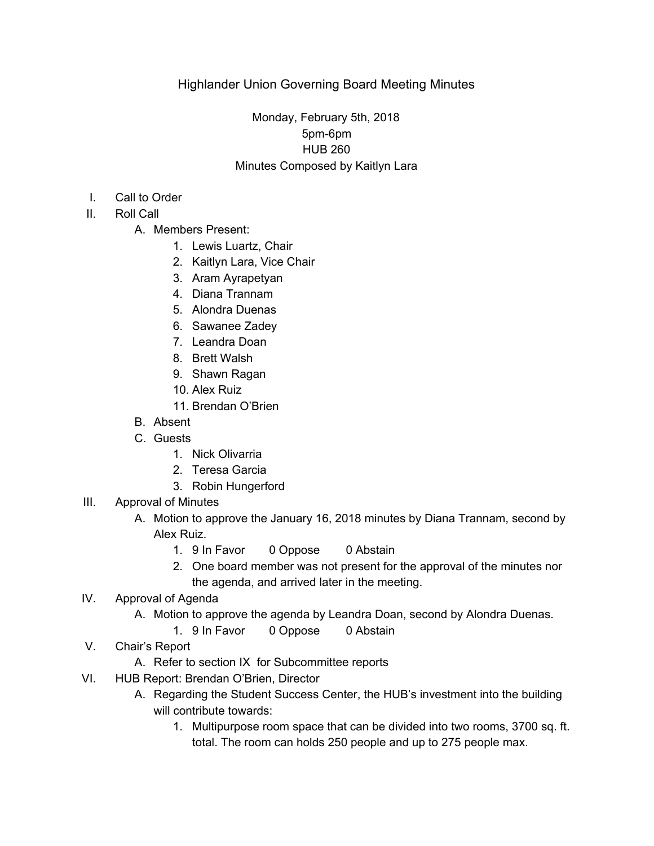# Monday, February 5th, 2018 5pm-6pm HUB 260 Minutes Composed by Kaitlyn Lara

- I. Call to Order
- II. Roll Call
	- A. Members Present:
		- 1. Lewis Luartz, Chair
		- 2. Kaitlyn Lara, Vice Chair
		- 3. Aram Ayrapetyan
		- 4. Diana Trannam
		- 5. Alondra Duenas
		- 6. Sawanee Zadey
		- 7. Leandra Doan
		- 8. Brett Walsh
		- 9. Shawn Ragan
		- 10. Alex Ruiz
		- 11. Brendan O'Brien
	- B. Absent
	- C. Guests
		- 1. Nick Olivarria
		- 2. Teresa Garcia
		- 3. Robin Hungerford
- III. Approval of Minutes
	- A. Motion to approve the January 16, 2018 minutes by Diana Trannam, second by Alex Ruiz.
		- 1. 9 In Favor 0 Oppose 0 Abstain
		- 2. One board member was not present for the approval of the minutes nor the agenda, and arrived later in the meeting.
- IV. Approval of Agenda
	- A. Motion to approve the agenda by Leandra Doan, second by Alondra Duenas.
		- 1. 9 In Favor 0 Oppose 0 Abstain
- V. Chair's Report
	- A. Refer to section IX for Subcommittee reports
- VI. HUB Report: Brendan O'Brien, Director
	- A. Regarding the Student Success Center, the HUB's investment into the building will contribute towards:
		- 1. Multipurpose room space that can be divided into two rooms, 3700 sq. ft. total. The room can holds 250 people and up to 275 people max.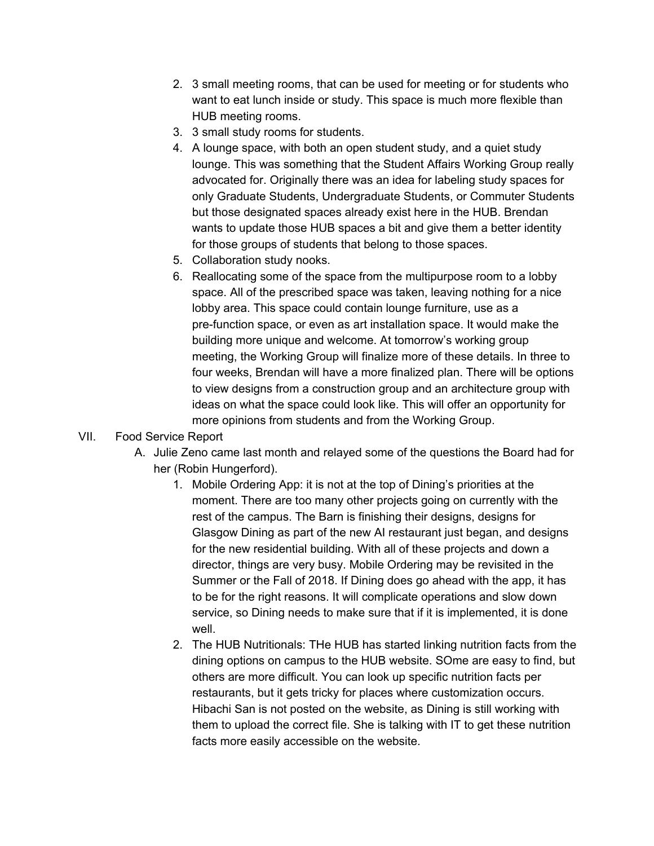- 2. 3 small meeting rooms, that can be used for meeting or for students who want to eat lunch inside or study. This space is much more flexible than HUB meeting rooms.
- 3. 3 small study rooms for students.
- 4. A lounge space, with both an open student study, and a quiet study lounge. This was something that the Student Affairs Working Group really advocated for. Originally there was an idea for labeling study spaces for only Graduate Students, Undergraduate Students, or Commuter Students but those designated spaces already exist here in the HUB. Brendan wants to update those HUB spaces a bit and give them a better identity for those groups of students that belong to those spaces.
- 5. Collaboration study nooks.
- 6. Reallocating some of the space from the multipurpose room to a lobby space. All of the prescribed space was taken, leaving nothing for a nice lobby area. This space could contain lounge furniture, use as a pre-function space, or even as art installation space. It would make the building more unique and welcome. At tomorrow's working group meeting, the Working Group will finalize more of these details. In three to four weeks, Brendan will have a more finalized plan. There will be options to view designs from a construction group and an architecture group with ideas on what the space could look like. This will offer an opportunity for more opinions from students and from the Working Group.

### VII. Food Service Report

- A. Julie Zeno came last month and relayed some of the questions the Board had for her (Robin Hungerford).
	- 1. Mobile Ordering App: it is not at the top of Dining's priorities at the moment. There are too many other projects going on currently with the rest of the campus. The Barn is finishing their designs, designs for Glasgow Dining as part of the new AI restaurant just began, and designs for the new residential building. With all of these projects and down a director, things are very busy. Mobile Ordering may be revisited in the Summer or the Fall of 2018. If Dining does go ahead with the app, it has to be for the right reasons. It will complicate operations and slow down service, so Dining needs to make sure that if it is implemented, it is done well.
	- 2. The HUB Nutritionals: THe HUB has started linking nutrition facts from the dining options on campus to the HUB website. SOme are easy to find, but others are more difficult. You can look up specific nutrition facts per restaurants, but it gets tricky for places where customization occurs. Hibachi San is not posted on the website, as Dining is still working with them to upload the correct file. She is talking with IT to get these nutrition facts more easily accessible on the website.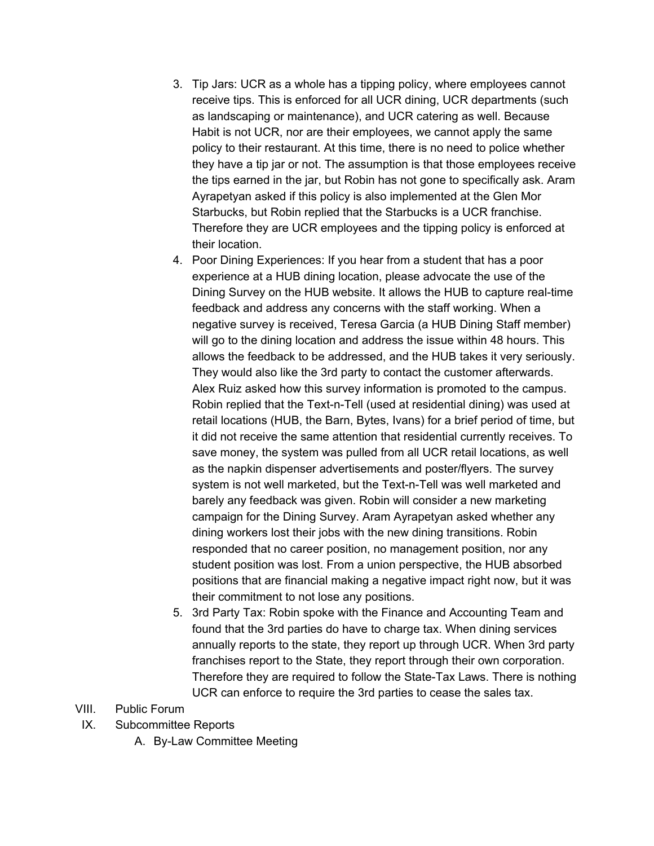- 3. Tip Jars: UCR as a whole has a tipping policy, where employees cannot receive tips. This is enforced for all UCR dining, UCR departments (such as landscaping or maintenance), and UCR catering as well. Because Habit is not UCR, nor are their employees, we cannot apply the same policy to their restaurant. At this time, there is no need to police whether they have a tip jar or not. The assumption is that those employees receive the tips earned in the jar, but Robin has not gone to specifically ask. Aram Ayrapetyan asked if this policy is also implemented at the Glen Mor Starbucks, but Robin replied that the Starbucks is a UCR franchise. Therefore they are UCR employees and the tipping policy is enforced at their location.
- 4. Poor Dining Experiences: If you hear from a student that has a poor experience at a HUB dining location, please advocate the use of the Dining Survey on the HUB website. It allows the HUB to capture real-time feedback and address any concerns with the staff working. When a negative survey is received, Teresa Garcia (a HUB Dining Staff member) will go to the dining location and address the issue within 48 hours. This allows the feedback to be addressed, and the HUB takes it very seriously. They would also like the 3rd party to contact the customer afterwards. Alex Ruiz asked how this survey information is promoted to the campus. Robin replied that the Text-n-Tell (used at residential dining) was used at retail locations (HUB, the Barn, Bytes, Ivans) for a brief period of time, but it did not receive the same attention that residential currently receives. To save money, the system was pulled from all UCR retail locations, as well as the napkin dispenser advertisements and poster/flyers. The survey system is not well marketed, but the Text-n-Tell was well marketed and barely any feedback was given. Robin will consider a new marketing campaign for the Dining Survey. Aram Ayrapetyan asked whether any dining workers lost their jobs with the new dining transitions. Robin responded that no career position, no management position, nor any student position was lost. From a union perspective, the HUB absorbed positions that are financial making a negative impact right now, but it was their commitment to not lose any positions.
- 5. 3rd Party Tax: Robin spoke with the Finance and Accounting Team and found that the 3rd parties do have to charge tax. When dining services annually reports to the state, they report up through UCR. When 3rd party franchises report to the State, they report through their own corporation. Therefore they are required to follow the State-Tax Laws. There is nothing UCR can enforce to require the 3rd parties to cease the sales tax.
- VIII. Public Forum
- IX. Subcommittee Reports
	- A. By-Law Committee Meeting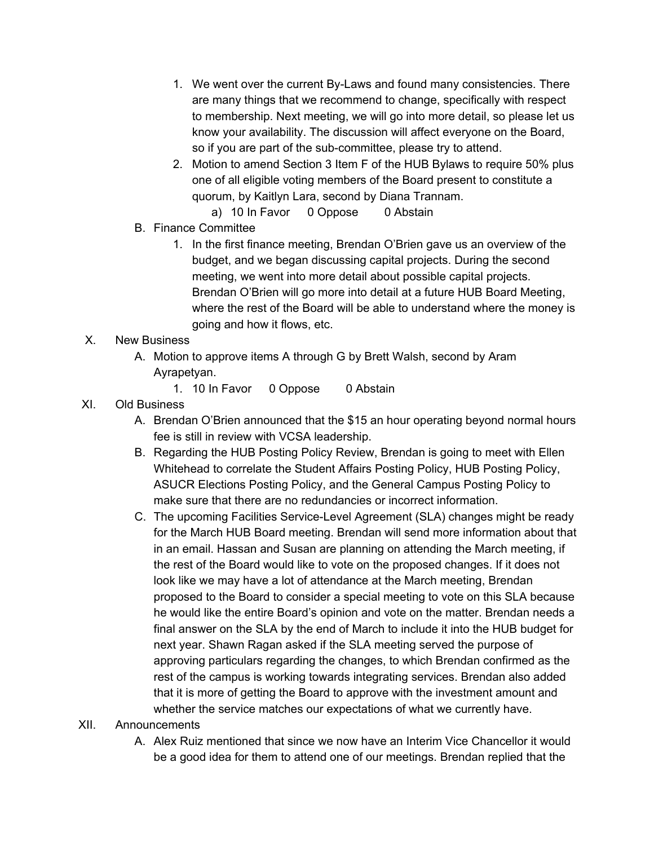- 1. We went over the current By-Laws and found many consistencies. There are many things that we recommend to change, specifically with respect to membership. Next meeting, we will go into more detail, so please let us know your availability. The discussion will affect everyone on the Board, so if you are part of the sub-committee, please try to attend.
- 2. Motion to amend Section 3 Item F of the HUB Bylaws to require 50% plus one of all eligible voting members of the Board present to constitute a quorum, by Kaitlyn Lara, second by Diana Trannam.
	- a) 10 In Favor 0 Oppose 0 Abstain
- B. Finance Committee
	- 1. In the first finance meeting, Brendan O'Brien gave us an overview of the budget, and we began discussing capital projects. During the second meeting, we went into more detail about possible capital projects. Brendan O'Brien will go more into detail at a future HUB Board Meeting, where the rest of the Board will be able to understand where the money is going and how it flows, etc.

## X. New Business

- A. Motion to approve items A through G by Brett Walsh, second by Aram Ayrapetyan.
	- 1. 10 In Favor 0 Oppose 0 Abstain

## XI. Old Business

- A. Brendan O'Brien announced that the \$15 an hour operating beyond normal hours fee is still in review with VCSA leadership.
- B. Regarding the HUB Posting Policy Review, Brendan is going to meet with Ellen Whitehead to correlate the Student Affairs Posting Policy, HUB Posting Policy, ASUCR Elections Posting Policy, and the General Campus Posting Policy to make sure that there are no redundancies or incorrect information.
- C. The upcoming Facilities Service-Level Agreement (SLA) changes might be ready for the March HUB Board meeting. Brendan will send more information about that in an email. Hassan and Susan are planning on attending the March meeting, if the rest of the Board would like to vote on the proposed changes. If it does not look like we may have a lot of attendance at the March meeting, Brendan proposed to the Board to consider a special meeting to vote on this SLA because he would like the entire Board's opinion and vote on the matter. Brendan needs a final answer on the SLA by the end of March to include it into the HUB budget for next year. Shawn Ragan asked if the SLA meeting served the purpose of approving particulars regarding the changes, to which Brendan confirmed as the rest of the campus is working towards integrating services. Brendan also added that it is more of getting the Board to approve with the investment amount and whether the service matches our expectations of what we currently have.

### XII. Announcements

A. Alex Ruiz mentioned that since we now have an Interim Vice Chancellor it would be a good idea for them to attend one of our meetings. Brendan replied that the